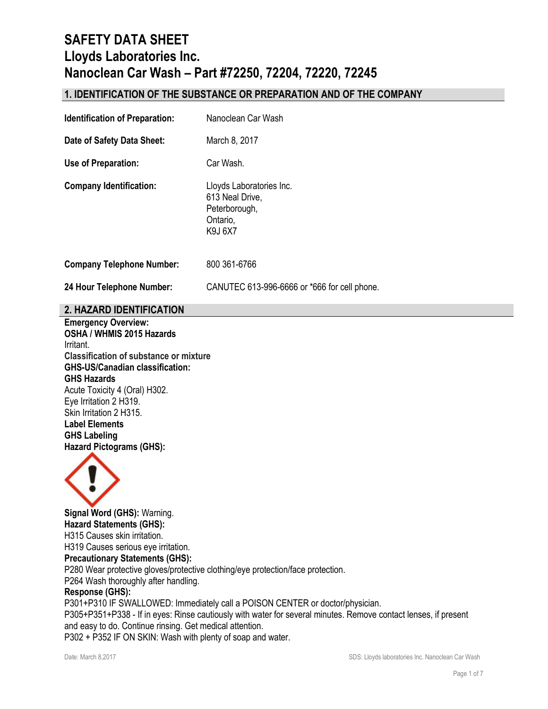## **1. IDENTIFICATION OF THE SUBSTANCE OR PREPARATION AND OF THE COMPANY**

| <b>Identification of Preparation:</b> | Nanoclean Car Wash                                                                  |
|---------------------------------------|-------------------------------------------------------------------------------------|
| Date of Safety Data Sheet:            | March 8, 2017                                                                       |
| Use of Preparation:                   | Car Wash.                                                                           |
| <b>Company Identification:</b>        | Lloyds Laboratories Inc.<br>613 Neal Drive,<br>Peterborough,<br>Ontario,<br>K9J 6X7 |
| <b>Company Telephone Number:</b>      | 800 361-6766                                                                        |
| 24 Hour Telephone Number:             | CANUTEC 613-996-6666 or *666 for cell phone.                                        |
|                                       |                                                                                     |

## **2. HAZARD IDENTIFICATION**

**Emergency Overview: OSHA / WHMIS 2015 Hazards** Irritant. **Classification of substance or mixture GHS-US/Canadian classification: GHS Hazards**  Acute Toxicity 4 (Oral) H302. Eye Irritation 2 H319. Skin Irritation 2 H315. **Label Elements GHS Labeling Hazard Pictograms (GHS):**



**Signal Word (GHS):** Warning. **Hazard Statements (GHS):** H315 Causes skin irritation. H319 Causes serious eye irritation. **Precautionary Statements (GHS):** P280 Wear protective gloves/protective clothing/eye protection/face protection. P264 Wash thoroughly after handling. **Response (GHS):** P301+P310 IF SWALLOWED: Immediately call a POISON CENTER or doctor/physician. P305+P351+P338 - If in eyes: Rinse cautiously with water for several minutes. Remove contact lenses, if present and easy to do. Continue rinsing. Get medical attention.

P302 + P352 IF ON SKIN: Wash with plenty of soap and water.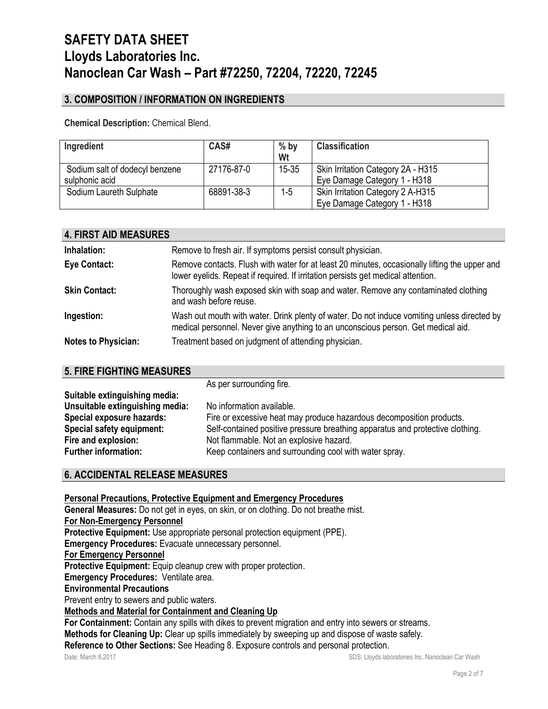# **3. COMPOSITION / INFORMATION ON INGREDIENTS**

**Chemical Description:** Chemical Blend.

| Ingredient                     | CAS#       | $%$ by<br>Wt | <b>Classification</b>              |
|--------------------------------|------------|--------------|------------------------------------|
| Sodium salt of dodecyl benzene | 27176-87-0 | $15 - 35$    | Skin Irritation Category 2A - H315 |
| sulphonic acid                 |            |              | Eye Damage Category 1 - H318       |
| Sodium Laureth Sulphate        | 68891-38-3 | 1-5          | Skin Irritation Category 2 A-H315  |
|                                |            |              | Eye Damage Category 1 - H318       |

| <b>4. FIRST AID MEASURES</b> |                                                                                                                                                                                   |
|------------------------------|-----------------------------------------------------------------------------------------------------------------------------------------------------------------------------------|
| Inhalation:                  | Remove to fresh air. If symptoms persist consult physician.                                                                                                                       |
| <b>Eye Contact:</b>          | Remove contacts. Flush with water for at least 20 minutes, occasionally lifting the upper and<br>lower eyelids. Repeat if required. If irritation persists get medical attention. |
| <b>Skin Contact:</b>         | Thoroughly wash exposed skin with soap and water. Remove any contaminated clothing<br>and wash before reuse.                                                                      |
| Ingestion:                   | Wash out mouth with water. Drink plenty of water. Do not induce vomiting unless directed by<br>medical personnel. Never give anything to an unconscious person. Get medical aid.  |
| <b>Notes to Physician:</b>   | Treatment based on judgment of attending physician.                                                                                                                               |

### **5. FIRE FIGHTING MEASURES**

As per surrounding fire.

| Suitable extinguishing media:   |                                                                               |
|---------------------------------|-------------------------------------------------------------------------------|
| Unsuitable extinguishing media: | No information available.                                                     |
| Special exposure hazards:       | Fire or excessive heat may produce hazardous decomposition products.          |
| Special safety equipment:       | Self-contained positive pressure breathing apparatus and protective clothing. |
| Fire and explosion:             | Not flammable. Not an explosive hazard.                                       |
| <b>Further information:</b>     | Keep containers and surrounding cool with water spray.                        |

# **6. ACCIDENTAL RELEASE MEASURES**

**Personal Precautions, Protective Equipment and Emergency Procedures**

**General Measures:** Do not get in eyes, on skin, or on clothing. Do not breathe mist. **For Non-Emergency Personnel**

**Protective Equipment:** Use appropriate personal protection equipment (PPE).

**Emergency Procedures:** Evacuate unnecessary personnel.

**For Emergency Personnel**

Protective Equipment: Equip cleanup crew with proper protection.

**Emergency Procedures:** Ventilate area.

**Environmental Precautions**

Prevent entry to sewers and public waters.

### **Methods and Material for Containment and Cleaning Up**

**For Containment:** Contain any spills with dikes to prevent migration and entry into sewers or streams.

**Methods for Cleaning Up:** Clear up spills immediately by sweeping up and dispose of waste safely.

**Reference to Other Sections:** See Heading 8. Exposure controls and personal protection.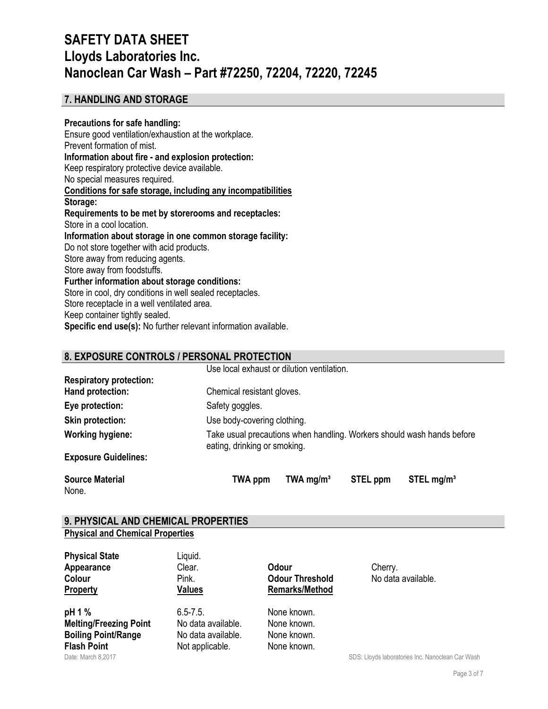### **7. HANDLING AND STORAGE**

#### **Precautions for safe handling:**

Ensure good ventilation/exhaustion at the workplace. Prevent formation of mist. **Information about fire - and explosion protection:** Keep respiratory protective device available. No special measures required. **Conditions for safe storage, including any incompatibilities Storage: Requirements to be met by storerooms and receptacles:** Store in a cool location. **Information about storage in one common storage facility:** Do not store together with acid products. Store away from reducing agents. Store away from foodstuffs. **Further information about storage conditions:** Store in cool, dry conditions in well sealed receptacles. Store receptacle in a well ventilated area. Keep container tightly sealed. **Specific end use(s):** No further relevant information available.

## **8. EXPOSURE CONTROLS / PERSONAL PROTECTION**

|                                | Use local exhaust or dilution ventilation.                                                             |
|--------------------------------|--------------------------------------------------------------------------------------------------------|
| <b>Respiratory protection:</b> |                                                                                                        |
| Hand protection:               | Chemical resistant gloves.                                                                             |
| Eye protection:                | Safety goggles.                                                                                        |
| <b>Skin protection:</b>        | Use body-covering clothing.                                                                            |
| <b>Working hygiene:</b>        | Take usual precautions when handling. Workers should wash hands before<br>eating, drinking or smoking. |
| <b>Exposure Guidelines:</b>    |                                                                                                        |

None.

Source Material **TWA ppm** TWA mg/m<sup>3</sup> STEL ppm STEL mg/m<sup>3</sup>

#### **9. PHYSICAL AND CHEMICAL PROPERTIES Physical and Chemical Properties**

| <b>Physical State</b><br>Appearance<br>Colour<br>Property                                   | Liquid.<br>Clear.<br>Pink.<br><b>Values</b>                                  | <b>Odour</b><br><b>Odour Threshold</b><br><b>Remarks/Method</b> | Cherry.<br>No data available.                   |
|---------------------------------------------------------------------------------------------|------------------------------------------------------------------------------|-----------------------------------------------------------------|-------------------------------------------------|
| pH 1 %<br><b>Melting/Freezing Point</b><br><b>Boiling Point/Range</b><br><b>Flash Point</b> | $6.5 - 7.5$ .<br>No data available.<br>No data available.<br>Not applicable. | None known.<br>None known.<br>None known.<br>None known.        |                                                 |
| Date: March 8 2017                                                                          |                                                                              |                                                                 | SDS: Hoyds laboratories Inc. Nanoclean Car Wash |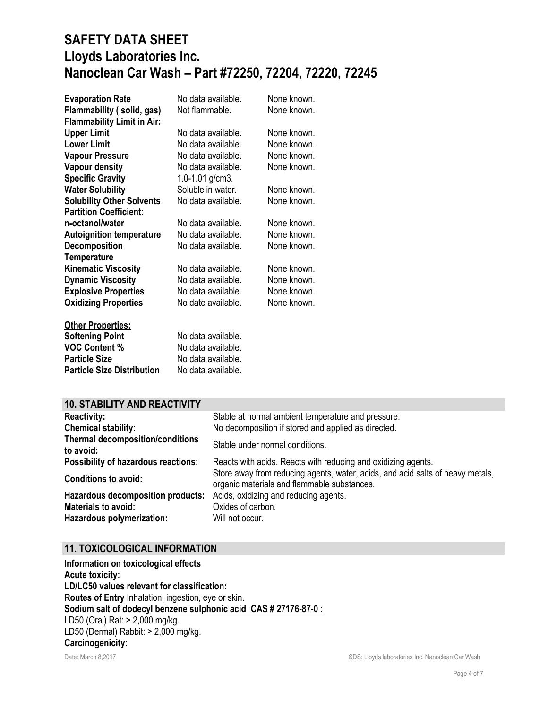| <b>Evaporation Rate</b><br>Flammability (solid, gas)<br><b>Flammability Limit in Air:</b> | No data available.<br>Not flammable. | None known.<br>None known. |
|-------------------------------------------------------------------------------------------|--------------------------------------|----------------------------|
| <b>Upper Limit</b>                                                                        | No data available.                   | None known.                |
| <b>Lower Limit</b>                                                                        | No data available.                   | None known.                |
| <b>Vapour Pressure</b>                                                                    | No data available.                   | None known.                |
| Vapour density                                                                            | No data available.                   | None known.                |
| <b>Specific Gravity</b>                                                                   | 1.0-1.01 g/cm3.                      |                            |
| <b>Water Solubility</b>                                                                   | Soluble in water.                    | None known.                |
| <b>Solubility Other Solvents</b>                                                          | No data available.                   | None known.                |
| <b>Partition Coefficient:</b>                                                             |                                      |                            |
| n-octanol/water                                                                           | No data available.                   | None known.                |
| <b>Autoignition temperature</b>                                                           | No data available.                   | None known.                |
| <b>Decomposition</b>                                                                      | No data available.                   | None known.                |
| <b>Temperature</b>                                                                        |                                      |                            |
| <b>Kinematic Viscosity</b>                                                                | No data available.                   | None known.                |
| <b>Dynamic Viscosity</b>                                                                  | No data available.                   | None known.                |
| <b>Explosive Properties</b>                                                               | No data available.                   | None known.                |
| <b>Oxidizing Properties</b>                                                               | No date available.                   | None known.                |
| <b>Other Properties:</b>                                                                  |                                      |                            |
| <b>Softening Point</b>                                                                    | No data available.                   |                            |
| <b>VOC Content %</b>                                                                      | No data available.                   |                            |
| <b>Particle Size</b>                                                                      | No data available.                   |                            |

### **10. STABILITY AND REACTIVITY**

**Particle Size Distribution** No data available.

| <b>Reactivity:</b><br><b>Chemical stability:</b>     | Stable at normal ambient temperature and pressure.<br>No decomposition if stored and applied as directed.                     |
|------------------------------------------------------|-------------------------------------------------------------------------------------------------------------------------------|
| <b>Thermal decomposition/conditions</b><br>to avoid: | Stable under normal conditions.                                                                                               |
| <b>Possibility of hazardous reactions:</b>           | Reacts with acids. Reacts with reducing and oxidizing agents.                                                                 |
| <b>Conditions to avoid:</b>                          | Store away from reducing agents, water, acids, and acid salts of heavy metals,<br>organic materials and flammable substances. |
| Hazardous decomposition products:                    | Acids, oxidizing and reducing agents.                                                                                         |
| <b>Materials to avoid:</b>                           | Oxides of carbon.                                                                                                             |
| Hazardous polymerization:                            | Will not occur.                                                                                                               |

### **11. TOXICOLOGICAL INFORMATION**

Date: March 8,2017 SDS: Lloyds laboratories Inc. Nanoclean Car Wash **Information on toxicological effects Acute toxicity: LD/LC50 values relevant for classification: Routes of Entry** Inhalation, ingestion, eye or skin. **Sodium salt of dodecyl benzene sulphonic acid CAS # 27176-87-0 :** LD50 (Oral) Rat: > 2,000 mg/kg. LD50 (Dermal) Rabbit: > 2,000 mg/kg. **Carcinogenicity:**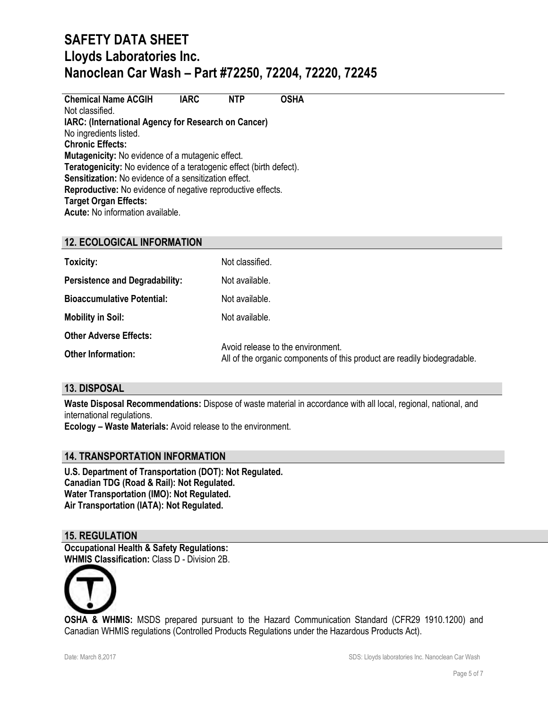**Chemical Name ACGIH IARC NTP OSHA** Not classified. **IARC: (International Agency for Research on Cancer)** No ingredients listed. **Chronic Effects: Mutagenicity:** No evidence of a mutagenic effect. **Teratogenicity:** No evidence of a teratogenic effect (birth defect). **Sensitization:** No evidence of a sensitization effect. **Reproductive:** No evidence of negative reproductive effects. **Target Organ Effects: Acute:** No information available.

# **12. ECOLOGICAL INFORMATION**

| Toxicity:                             | Not classified.                                                                                               |
|---------------------------------------|---------------------------------------------------------------------------------------------------------------|
| <b>Persistence and Degradability:</b> | Not available.                                                                                                |
| <b>Bioaccumulative Potential:</b>     | Not available.                                                                                                |
| <b>Mobility in Soil:</b>              | Not available.                                                                                                |
| <b>Other Adverse Effects:</b>         |                                                                                                               |
| <b>Other Information:</b>             | Avoid release to the environment.<br>All of the organic components of this product are readily biodegradable. |

### **13. DISPOSAL**

**Waste Disposal Recommendations:** Dispose of waste material in accordance with all local, regional, national, and international regulations.

**Ecology – Waste Materials:** Avoid release to the environment.

### **14. TRANSPORTATION INFORMATION**

**U.S. Department of Transportation (DOT): Not Regulated. Canadian TDG (Road & Rail): Not Regulated. Water Transportation (IMO): Not Regulated. Air Transportation (IATA): Not Regulated.**

### **15. REGULATION**

**Occupational Health & Safety Regulations: WHMIS Classification:** Class D - Division 2B.



**OSHA & WHMIS:** MSDS prepared pursuant to the Hazard Communication Standard (CFR29 1910.1200) and Canadian WHMIS regulations (Controlled Products Regulations under the Hazardous Products Act).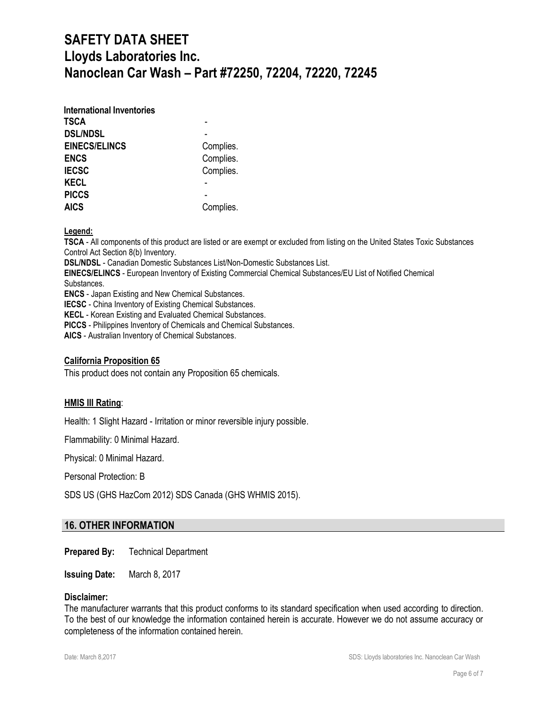| <b>International Inventories</b> |           |
|----------------------------------|-----------|
| TSCA                             |           |
| <b>DSL/NDSL</b>                  |           |
| <b>EINECS/ELINCS</b>             | Complies. |
| <b>ENCS</b>                      | Complies. |
| <b>IECSC</b>                     | Complies. |
| <b>KECL</b>                      |           |
| <b>PICCS</b>                     |           |
| <b>AICS</b>                      | Complies. |

**Legend:** 

**TSCA** - All components of this product are listed or are exempt or excluded from listing on the United States Toxic Substances Control Act Section 8(b) Inventory.

**DSL/NDSL** - Canadian Domestic Substances List/Non-Domestic Substances List.

**EINECS/ELINCS** - European Inventory of Existing Commercial Chemical Substances/EU List of Notified Chemical Substances.

**ENCS** - Japan Existing and New Chemical Substances.

**IECSC** - China Inventory of Existing Chemical Substances.

**KECL** - Korean Existing and Evaluated Chemical Substances.

**PICCS** - Philippines Inventory of Chemicals and Chemical Substances.

**AICS** - Australian Inventory of Chemical Substances.

#### **California Proposition 65**

This product does not contain any Proposition 65 chemicals.

### **HMIS III Rating**:

Health: 1 Slight Hazard - Irritation or minor reversible injury possible.

Flammability: 0 Minimal Hazard.

Physical: 0 Minimal Hazard.

Personal Protection: B

SDS US (GHS HazCom 2012) SDS Canada (GHS WHMIS 2015).

### **16. OTHER INFORMATION**

**Prepared By:** Technical Department

**Issuing Date:** March 8, 2017

#### **Disclaimer:**

The manufacturer warrants that this product conforms to its standard specification when used according to direction. To the best of our knowledge the information contained herein is accurate. However we do not assume accuracy or completeness of the information contained herein.